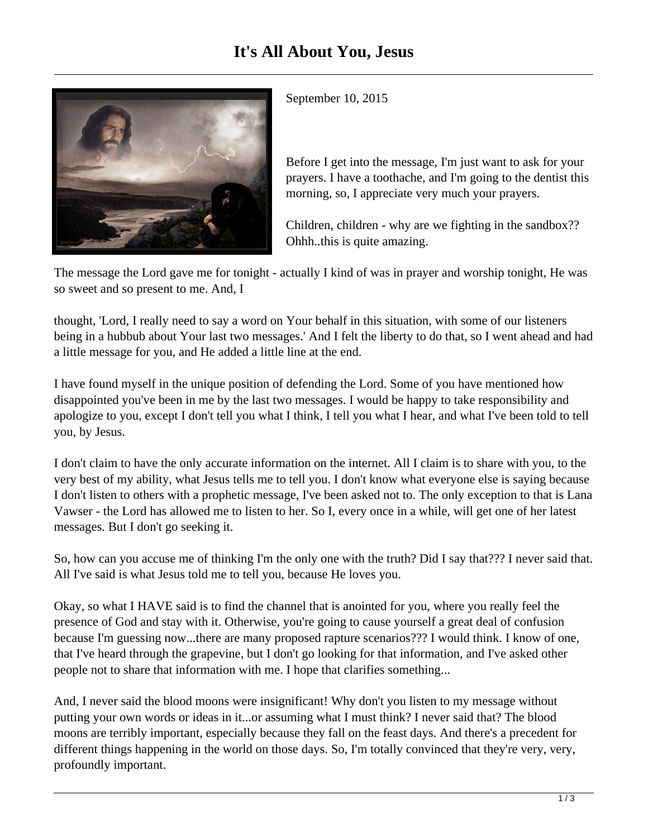

September 10, 2015

Before I get into the message, I'm just want to ask for your prayers. I have a toothache, and I'm going to the dentist this morning, so, I appreciate very much your prayers.

Children, children - why are we fighting in the sandbox?? Ohhh..this is quite amazing.

The message the Lord gave me for tonight - actually I kind of was in prayer and worship tonight, He was so sweet and so present to me. And, I

thought, 'Lord, I really need to say a word on Your behalf in this situation, with some of our listeners being in a hubbub about Your last two messages.' And I felt the liberty to do that, so I went ahead and had a little message for you, and He added a little line at the end.

I have found myself in the unique position of defending the Lord. Some of you have mentioned how disappointed you've been in me by the last two messages. I would be happy to take responsibility and apologize to you, except I don't tell you what I think, I tell you what I hear, and what I've been told to tell you, by Jesus.

I don't claim to have the only accurate information on the internet. All I claim is to share with you, to the very best of my ability, what Jesus tells me to tell you. I don't know what everyone else is saying because I don't listen to others with a prophetic message, I've been asked not to. The only exception to that is Lana Vawser - the Lord has allowed me to listen to her. So I, every once in a while, will get one of her latest messages. But I don't go seeking it.

So, how can you accuse me of thinking I'm the only one with the truth? Did I say that??? I never said that. All I've said is what Jesus told me to tell you, because He loves you.

Okay, so what I HAVE said is to find the channel that is anointed for you, where you really feel the presence of God and stay with it. Otherwise, you're going to cause yourself a great deal of confusion because I'm guessing now...there are many proposed rapture scenarios??? I would think. I know of one, that I've heard through the grapevine, but I don't go looking for that information, and I've asked other people not to share that information with me. I hope that clarifies something...

And, I never said the blood moons were insignificant! Why don't you listen to my message without putting your own words or ideas in it...or assuming what I must think? I never said that? The blood moons are terribly important, especially because they fall on the feast days. And there's a precedent for different things happening in the world on those days. So, I'm totally convinced that they're very, very, profoundly important.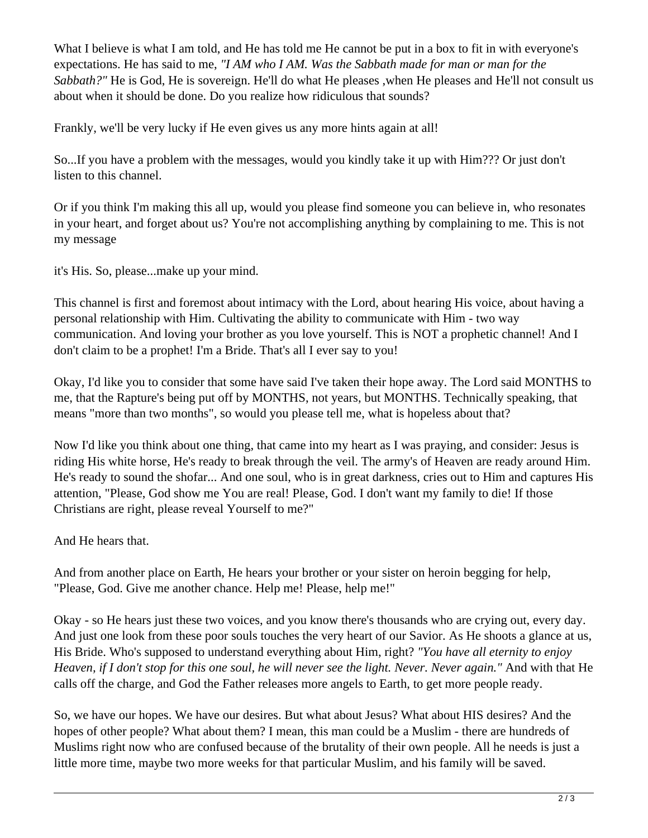What I believe is what I am told, and He has told me He cannot be put in a box to fit in with everyone's expectations. He has said to me, *"I AM who I AM. Was the Sabbath made for man or man for the Sabbath?"* He is God, He is sovereign. He'll do what He pleases, when He pleases and He'll not consult us about when it should be done. Do you realize how ridiculous that sounds?

Frankly, we'll be very lucky if He even gives us any more hints again at all!

So...If you have a problem with the messages, would you kindly take it up with Him??? Or just don't listen to this channel.

Or if you think I'm making this all up, would you please find someone you can believe in, who resonates in your heart, and forget about us? You're not accomplishing anything by complaining to me. This is not my message

it's His. So, please...make up your mind.

This channel is first and foremost about intimacy with the Lord, about hearing His voice, about having a personal relationship with Him. Cultivating the ability to communicate with Him - two way communication. And loving your brother as you love yourself. This is NOT a prophetic channel! And I don't claim to be a prophet! I'm a Bride. That's all I ever say to you!

Okay, I'd like you to consider that some have said I've taken their hope away. The Lord said MONTHS to me, that the Rapture's being put off by MONTHS, not years, but MONTHS. Technically speaking, that means "more than two months", so would you please tell me, what is hopeless about that?

Now I'd like you think about one thing, that came into my heart as I was praying, and consider: Jesus is riding His white horse, He's ready to break through the veil. The army's of Heaven are ready around Him. He's ready to sound the shofar... And one soul, who is in great darkness, cries out to Him and captures His attention, "Please, God show me You are real! Please, God. I don't want my family to die! If those Christians are right, please reveal Yourself to me?"

And He hears that.

And from another place on Earth, He hears your brother or your sister on heroin begging for help, "Please, God. Give me another chance. Help me! Please, help me!"

Okay - so He hears just these two voices, and you know there's thousands who are crying out, every day. And just one look from these poor souls touches the very heart of our Savior. As He shoots a glance at us, His Bride. Who's supposed to understand everything about Him, right? *"You have all eternity to enjoy Heaven, if I don't stop for this one soul, he will never see the light. Never. Never again."* And with that He calls off the charge, and God the Father releases more angels to Earth, to get more people ready.

So, we have our hopes. We have our desires. But what about Jesus? What about HIS desires? And the hopes of other people? What about them? I mean, this man could be a Muslim - there are hundreds of Muslims right now who are confused because of the brutality of their own people. All he needs is just a little more time, maybe two more weeks for that particular Muslim, and his family will be saved.